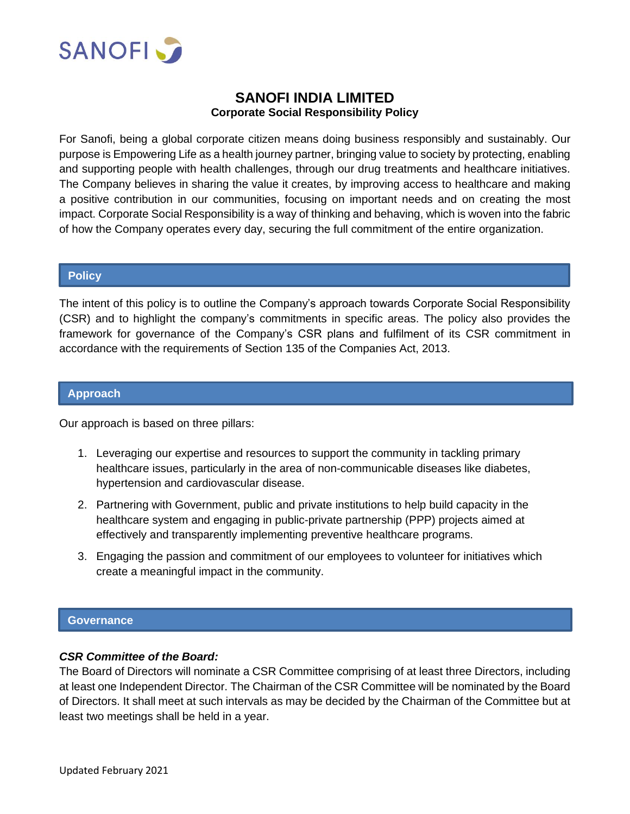

# **SANOFI INDIA LIMITED Corporate Social Responsibility Policy**

For Sanofi, being a global corporate citizen means doing business responsibly and sustainably. Our purpose is Empowering Life as a health journey partner, bringing value to society by protecting, enabling and supporting people with health challenges, through our drug treatments and healthcare initiatives. The Company believes in sharing the value it creates, by improving access to healthcare and making a positive contribution in our communities, focusing on important needs and on creating the most impact. Corporate Social Responsibility is a way of thinking and behaving, which is woven into the fabric of how the Company operates every day, securing the full commitment of the entire organization.

#### **Policy**

L

The intent of this policy is to outline the Company's approach towards Corporate Social Responsibility (CSR) and to highlight the company's commitments in specific areas. The policy also provides the framework for governance of the Company's CSR plans and fulfilment of its CSR commitment in accordance with the requirements of Section 135 of the Companies Act, 2013.

#### **Approach**

Our approach is based on three pillars:

- 1. Leveraging our expertise and resources to support the community in tackling primary healthcare issues, particularly in the area of non-communicable diseases like diabetes, hypertension and cardiovascular disease.
- 2. Partnering with Government, public and private institutions to help build capacity in the healthcare system and engaging in public-private partnership (PPP) projects aimed at effectively and transparently implementing preventive healthcare programs.
- 3. Engaging the passion and commitment of our employees to volunteer for initiatives which create a meaningful impact in the community.

#### **Governance**

## *CSR Committee of the Board:*

The Board of Directors will nominate a CSR Committee comprising of at least three Directors, including at least one Independent Director. The Chairman of the CSR Committee will be nominated by the Board of Directors. It shall meet at such intervals as may be decided by the Chairman of the Committee but at least two meetings shall be held in a year.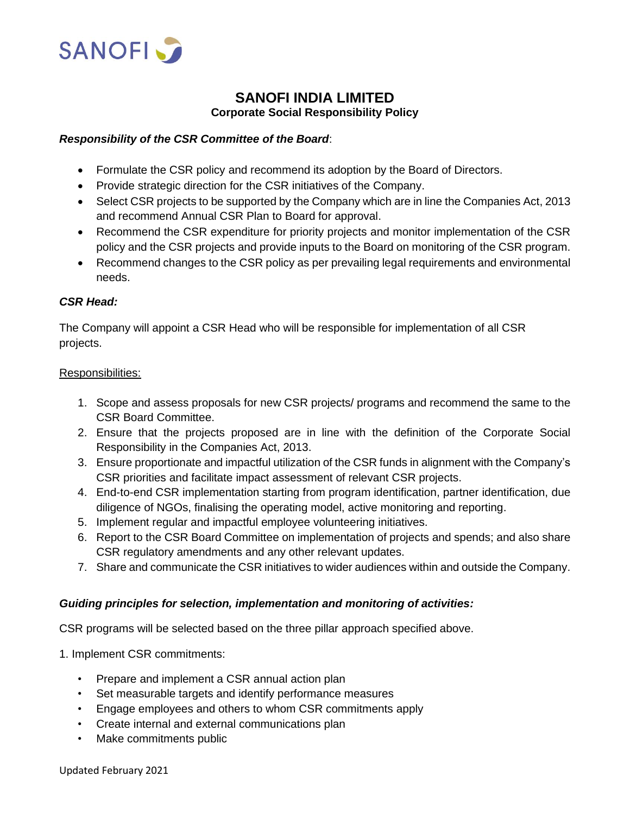

# **SANOFI INDIA LIMITED Corporate Social Responsibility Policy**

## *Responsibility of the CSR Committee of the Board*:

- Formulate the CSR policy and recommend its adoption by the Board of Directors.
- Provide strategic direction for the CSR initiatives of the Company.
- Select CSR projects to be supported by the Company which are in line the Companies Act, 2013 and recommend Annual CSR Plan to Board for approval.
- Recommend the CSR expenditure for priority projects and monitor implementation of the CSR policy and the CSR projects and provide inputs to the Board on monitoring of the CSR program.
- Recommend changes to the CSR policy as per prevailing legal requirements and environmental needs.

## *CSR Head:*

The Company will appoint a CSR Head who will be responsible for implementation of all CSR projects.

#### Responsibilities:

- 1. Scope and assess proposals for new CSR projects/ programs and recommend the same to the CSR Board Committee.
- 2. Ensure that the projects proposed are in line with the definition of the Corporate Social Responsibility in the Companies Act, 2013.
- 3. Ensure proportionate and impactful utilization of the CSR funds in alignment with the Company's CSR priorities and facilitate impact assessment of relevant CSR projects.
- 4. End-to-end CSR implementation starting from program identification, partner identification, due diligence of NGOs, finalising the operating model, active monitoring and reporting.
- 5. Implement regular and impactful employee volunteering initiatives.
- 6. Report to the CSR Board Committee on implementation of projects and spends; and also share CSR regulatory amendments and any other relevant updates.
- 7. Share and communicate the CSR initiatives to wider audiences within and outside the Company.

## *Guiding principles for selection, implementation and monitoring of activities:*

CSR programs will be selected based on the three pillar approach specified above.

- 1. Implement CSR commitments:
	- Prepare and implement a CSR annual action plan
	- Set measurable targets and identify performance measures
	- Engage employees and others to whom CSR commitments apply
	- Create internal and external communications plan
	- Make commitments public